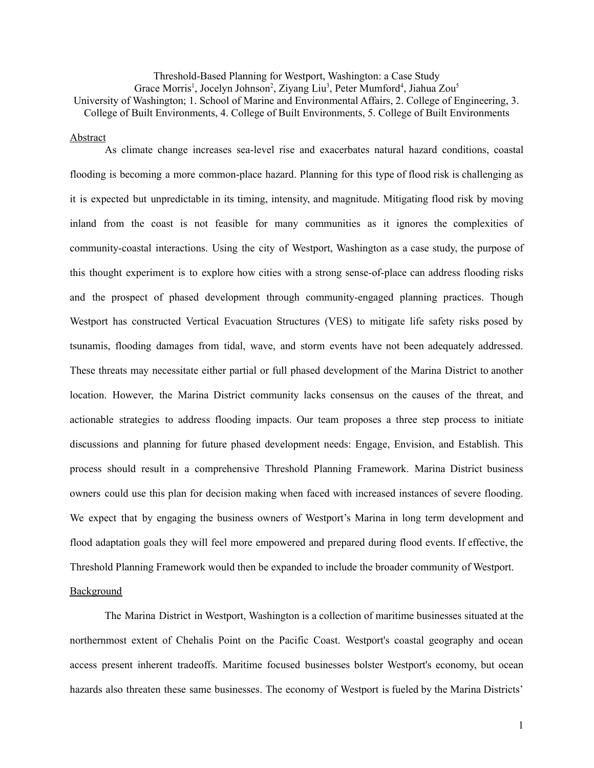Threshold-Based Planning for Westport, Washington: a Case Study Grace Morris<sup>1</sup>, Jocelyn Johnson<sup>2</sup>, Ziyang Liu<sup>3</sup>, Peter Mumford<sup>4</sup>, Jiahua Zou<sup>5</sup> University of Washington; 1. School of Marine and Environmental Affairs, 2. College of Engineering, 3. College of Built Environments, 4. College of Built Environments, 5. College of Built Environments

### Abstract

As climate change increases sea-level rise and exacerbates natural hazard conditions, coastal flooding is becoming a more common-place hazard. Planning for this type of flood risk is challenging as it is expected but unpredictable in its timing, intensity, and magnitude. Mitigating flood risk by moving inland from the coast is not feasible for many communities as it ignores the complexities of community-coastal interactions. Using the city of Westport, Washington as a case study, the purpose of this thought experiment is to explore how cities with a strong sense-of-place can address flooding risks and the prospect of phased development through community-engaged planning practices. Though Westport has constructed Vertical Evacuation Structures (VES) to mitigate life safety risks posed by tsunamis, flooding damages from tidal, wave, and storm events have not been adequately addressed. These threats may necessitate either partial or full phased development of the Marina District to another location. However, the Marina District community lacks consensus on the causes of the threat, and actionable strategies to address flooding impacts. Our team proposes a three step process to initiate discussions and planning for future phased development needs: Engage, Envision, and Establish. This process should result in a comprehensive Threshold Planning Framework. Marina District business owners could use this plan for decision making when faced with increased instances of severe flooding. We expect that by engaging the business owners of Westport's Marina in long term development and flood adaptation goals they will feel more empowered and prepared during flood events. If effective, the Threshold Planning Framework would then be expanded to include the broader community of Westport.

## **Background**

The Marina District in Westport, Washington is a collection of maritime businesses situated at the northernmost extent of Chehalis Point on the Pacific Coast. Westport's coastal geography and ocean access present inherent tradeoffs. Maritime focused businesses bolster Westport's economy, but ocean hazards also threaten these same businesses. The economy of Westport is fueled by the Marina Districts'

1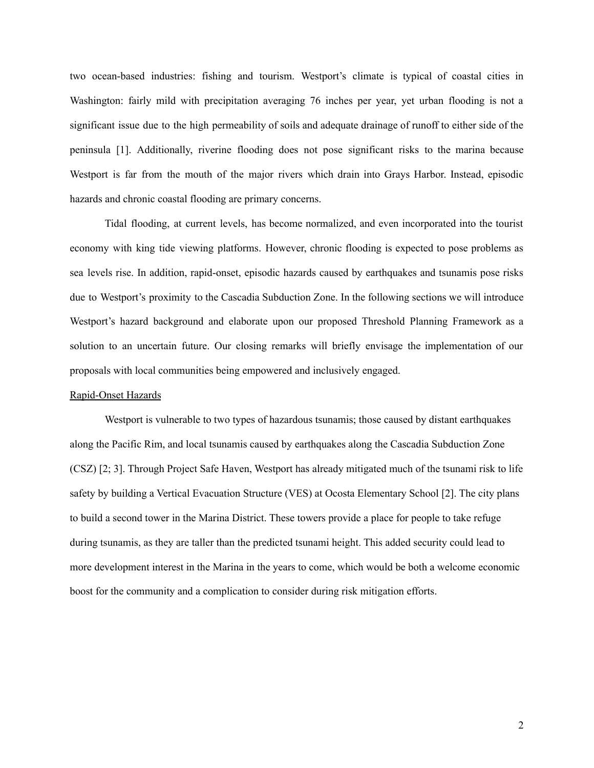two ocean-based industries: fishing and tourism. Westport's climate is typical of coastal cities in Washington: fairly mild with precipitation averaging 76 inches per year, yet urban flooding is not a significant issue due to the high permeability of soils and adequate drainage of runoff to either side of the peninsula [1]. Additionally, riverine flooding does not pose significant risks to the marina because Westport is far from the mouth of the major rivers which drain into Grays Harbor. Instead, episodic hazards and chronic coastal flooding are primary concerns.

Tidal flooding, at current levels, has become normalized, and even incorporated into the tourist economy with king tide viewing platforms. However, chronic flooding is expected to pose problems as sea levels rise. In addition, rapid-onset, episodic hazards caused by earthquakes and tsunamis pose risks due to Westport's proximity to the Cascadia Subduction Zone. In the following sections we will introduce Westport's hazard background and elaborate upon our proposed Threshold Planning Framework as a solution to an uncertain future. Our closing remarks will briefly envisage the implementation of our proposals with local communities being empowered and inclusively engaged.

## Rapid-Onset Hazards

Westport is vulnerable to two types of hazardous tsunamis; those caused by distant earthquakes along the Pacific Rim, and local tsunamis caused by earthquakes along the Cascadia Subduction Zone (CSZ) [2; 3]. Through Project Safe Haven, Westport has already mitigated much of the tsunami risk to life safety by building a Vertical Evacuation Structure (VES) at Ocosta Elementary School [2]. The city plans to build a second tower in the Marina District. These towers provide a place for people to take refuge during tsunamis, as they are taller than the predicted tsunami height. This added security could lead to more development interest in the Marina in the years to come, which would be both a welcome economic boost for the community and a complication to consider during risk mitigation efforts.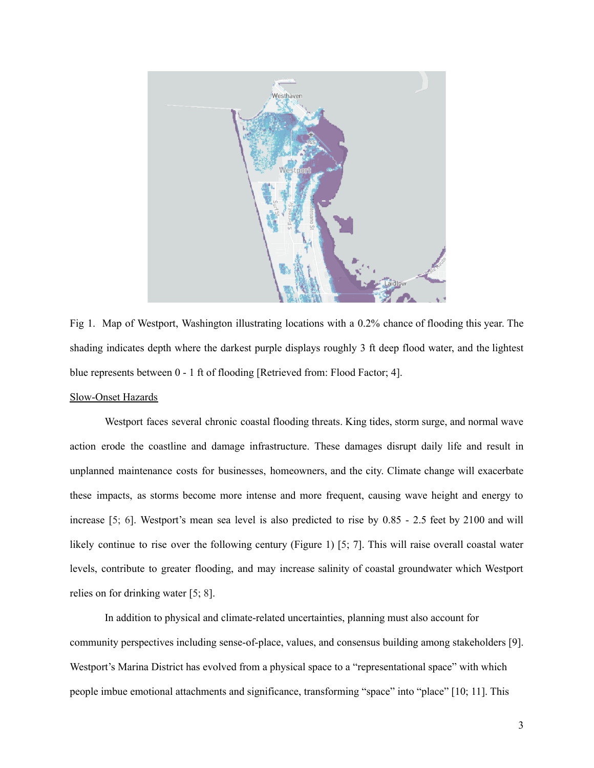

Fig 1. Map of Westport, Washington illustrating locations with a 0.2% chance of flooding this year. The shading indicates depth where the darkest purple displays roughly 3 ft deep flood water, and the lightest blue represents between 0 - 1 ft of flooding [Retrieved from: Flood Factor; 4].

# Slow-Onset Hazards

Westport faces several chronic coastal flooding threats. King tides, storm surge, and normal wave action erode the coastline and damage infrastructure. These damages disrupt daily life and result in unplanned maintenance costs for businesses, homeowners, and the city. Climate change will exacerbate these impacts, as storms become more intense and more frequent, causing wave height and energy to increase [5; 6]. Westport's mean sea level is also predicted to rise by 0.85 - 2.5 feet by 2100 and will likely continue to rise over the following century (Figure 1) [5; 7]. This will raise overall coastal water levels, contribute to greater flooding, and may increase salinity of coastal groundwater which Westport relies on for drinking water [5; 8].

In addition to physical and climate-related uncertainties, planning must also account for community perspectives including sense-of-place, values, and consensus building among stakeholders [9]. Westport's Marina District has evolved from a physical space to a "representational space" with which people imbue emotional attachments and significance, transforming "space" into "place" [10; 11]. This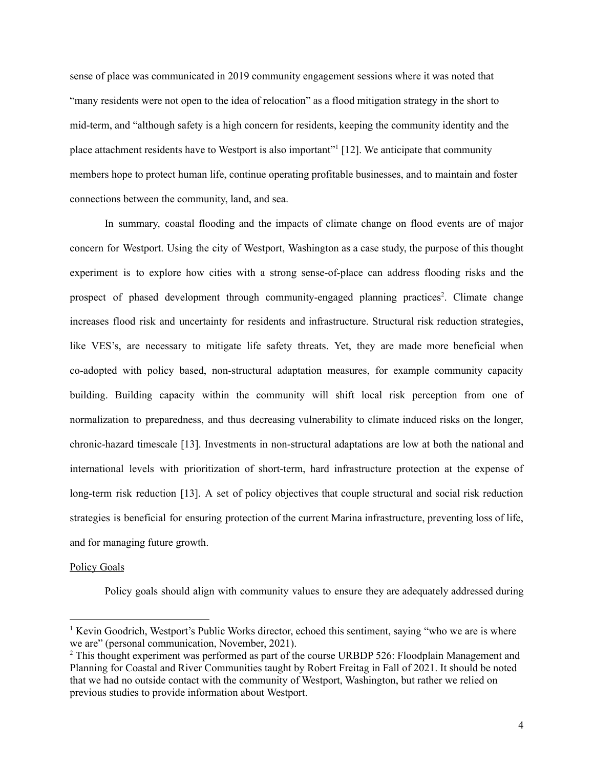sense of place was communicated in 2019 community engagement sessions where it was noted that "many residents were not open to the idea of relocation" as a flood mitigation strategy in the short to mid-term, and "although safety is a high concern for residents, keeping the community identity and the place attachment residents have to Westport is also important"<sup>1</sup> [12]. We anticipate that community members hope to protect human life, continue operating profitable businesses, and to maintain and foster connections between the community, land, and sea.

In summary, coastal flooding and the impacts of climate change on flood events are of major concern for Westport. Using the city of Westport, Washington as a case study, the purpose of this thought experiment is to explore how cities with a strong sense-of-place can address flooding risks and the prospect of phased development through community-engaged planning practices<sup>2</sup>. Climate change increases flood risk and uncertainty for residents and infrastructure. Structural risk reduction strategies, like VES's, are necessary to mitigate life safety threats. Yet, they are made more beneficial when co-adopted with policy based, non-structural adaptation measures, for example community capacity building. Building capacity within the community will shift local risk perception from one of normalization to preparedness, and thus decreasing vulnerability to climate induced risks on the longer, chronic-hazard timescale [13]. Investments in non-structural adaptations are low at both the national and international levels with prioritization of short-term, hard infrastructure protection at the expense of long-term risk reduction [13]. A set of policy objectives that couple structural and social risk reduction strategies is beneficial for ensuring protection of the current Marina infrastructure, preventing loss of life, and for managing future growth.

### Policy Goals

Policy goals should align with community values to ensure they are adequately addressed during

<sup>&</sup>lt;sup>1</sup> Kevin Goodrich, Westport's Public Works director, echoed this sentiment, saying "who we are is where we are" (personal communication, November, 2021).

<sup>&</sup>lt;sup>2</sup> This thought experiment was performed as part of the course URBDP 526: Floodplain Management and Planning for Coastal and River Communities taught by Robert Freitag in Fall of 2021. It should be noted that we had no outside contact with the community of Westport, Washington, but rather we relied on previous studies to provide information about Westport.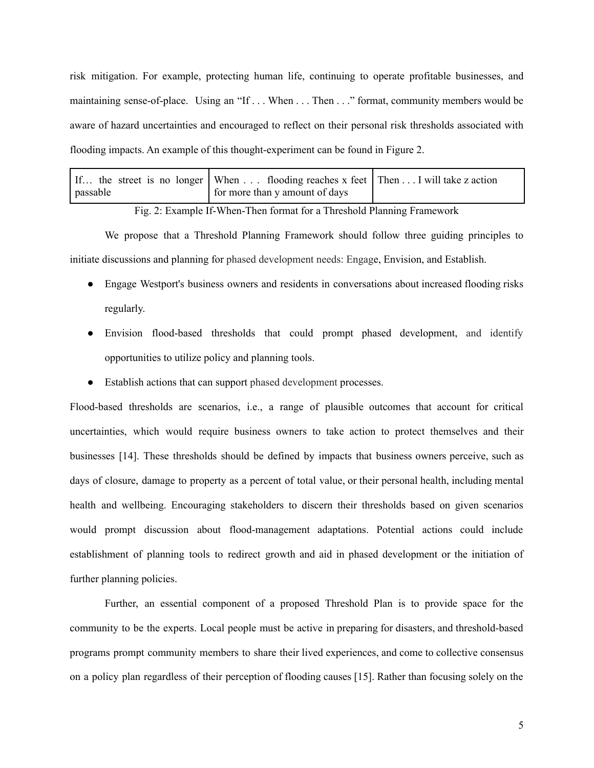risk mitigation. For example, protecting human life, continuing to operate profitable businesses, and maintaining sense-of-place. Using an "If . . . When . . . Then . . ." format, community members would be aware of hazard uncertainties and encouraged to reflect on their personal risk thresholds associated with flooding impacts. An example of this thought-experiment can be found in Figure 2.

|          | If the street is no longer   When  flooding reaches x feet   Then  I will take z action |  |
|----------|-----------------------------------------------------------------------------------------|--|
| passable | for more than y amount of days                                                          |  |

Fig. 2: Example If-When-Then format for a Threshold Planning Framework

We propose that a Threshold Planning Framework should follow three guiding principles to initiate discussions and planning for phased development needs: Engage, Envision, and Establish.

- Engage Westport's business owners and residents in conversations about increased flooding risks regularly.
- Envision flood-based thresholds that could prompt phased development, and identify opportunities to utilize policy and planning tools.
- Establish actions that can support phased development processes.

Flood-based thresholds are scenarios, i.e., a range of plausible outcomes that account for critical uncertainties, which would require business owners to take action to protect themselves and their businesses [14]. These thresholds should be defined by impacts that business owners perceive, such as days of closure, damage to property as a percent of total value, or their personal health, including mental health and wellbeing. Encouraging stakeholders to discern their thresholds based on given scenarios would prompt discussion about flood-management adaptations. Potential actions could include establishment of planning tools to redirect growth and aid in phased development or the initiation of further planning policies.

Further, an essential component of a proposed Threshold Plan is to provide space for the community to be the experts. Local people must be active in preparing for disasters, and threshold-based programs prompt community members to share their lived experiences, and come to collective consensus on a policy plan regardless of their perception of flooding causes [15]. Rather than focusing solely on the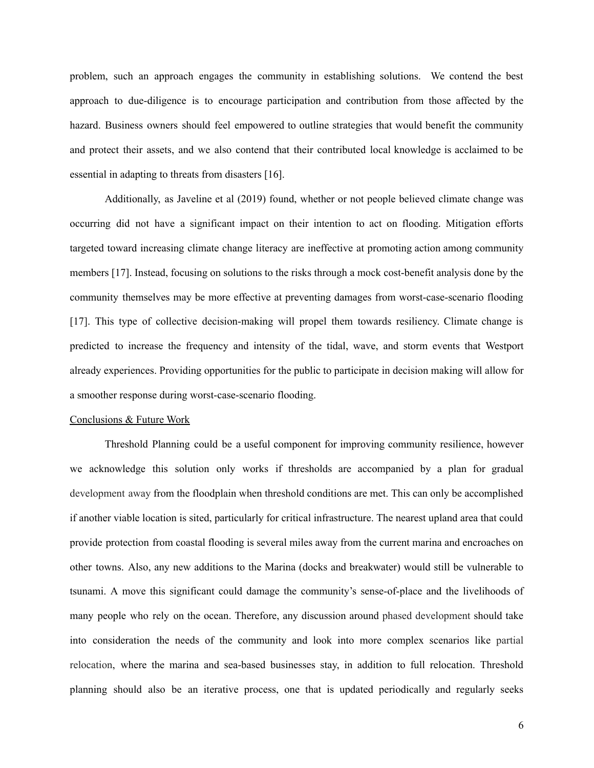problem, such an approach engages the community in establishing solutions. We contend the best approach to due-diligence is to encourage participation and contribution from those affected by the hazard. Business owners should feel empowered to outline strategies that would benefit the community and protect their assets, and we also contend that their contributed local knowledge is acclaimed to be essential in adapting to threats from disasters [16].

Additionally, as Javeline et al (2019) found, whether or not people believed climate change was occurring did not have a significant impact on their intention to act on flooding. Mitigation efforts targeted toward increasing climate change literacy are ineffective at promoting action among community members [17]. Instead, focusing on solutions to the risks through a mock cost-benefit analysis done by the community themselves may be more effective at preventing damages from worst-case-scenario flooding [17]. This type of collective decision-making will propel them towards resiliency. Climate change is predicted to increase the frequency and intensity of the tidal, wave, and storm events that Westport already experiences. Providing opportunities for the public to participate in decision making will allow for a smoother response during worst-case-scenario flooding.

### Conclusions & Future Work

Threshold Planning could be a useful component for improving community resilience, however we acknowledge this solution only works if thresholds are accompanied by a plan for gradual development away from the floodplain when threshold conditions are met. This can only be accomplished if another viable location is sited, particularly for critical infrastructure. The nearest upland area that could provide protection from coastal flooding is several miles away from the current marina and encroaches on other towns. Also, any new additions to the Marina (docks and breakwater) would still be vulnerable to tsunami. A move this significant could damage the community's sense-of-place and the livelihoods of many people who rely on the ocean. Therefore, any discussion around phased development should take into consideration the needs of the community and look into more complex scenarios like partial relocation, where the marina and sea-based businesses stay, in addition to full relocation. Threshold planning should also be an iterative process, one that is updated periodically and regularly seeks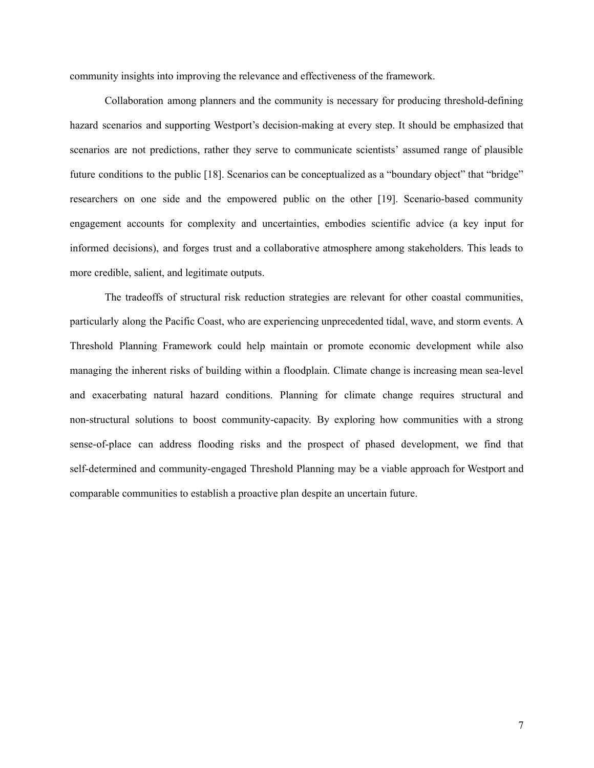community insights into improving the relevance and effectiveness of the framework.

Collaboration among planners and the community is necessary for producing threshold-defining hazard scenarios and supporting Westport's decision-making at every step. It should be emphasized that scenarios are not predictions, rather they serve to communicate scientists' assumed range of plausible future conditions to the public [18]. Scenarios can be conceptualized as a "boundary object" that "bridge" researchers on one side and the empowered public on the other [19]. Scenario-based community engagement accounts for complexity and uncertainties, embodies scientific advice (a key input for informed decisions), and forges trust and a collaborative atmosphere among stakeholders. This leads to more credible, salient, and legitimate outputs.

The tradeoffs of structural risk reduction strategies are relevant for other coastal communities, particularly along the Pacific Coast, who are experiencing unprecedented tidal, wave, and storm events. A Threshold Planning Framework could help maintain or promote economic development while also managing the inherent risks of building within a floodplain. Climate change is increasing mean sea-level and exacerbating natural hazard conditions. Planning for climate change requires structural and non-structural solutions to boost community-capacity. By exploring how communities with a strong sense-of-place can address flooding risks and the prospect of phased development, we find that self-determined and community-engaged Threshold Planning may be a viable approach for Westport and comparable communities to establish a proactive plan despite an uncertain future.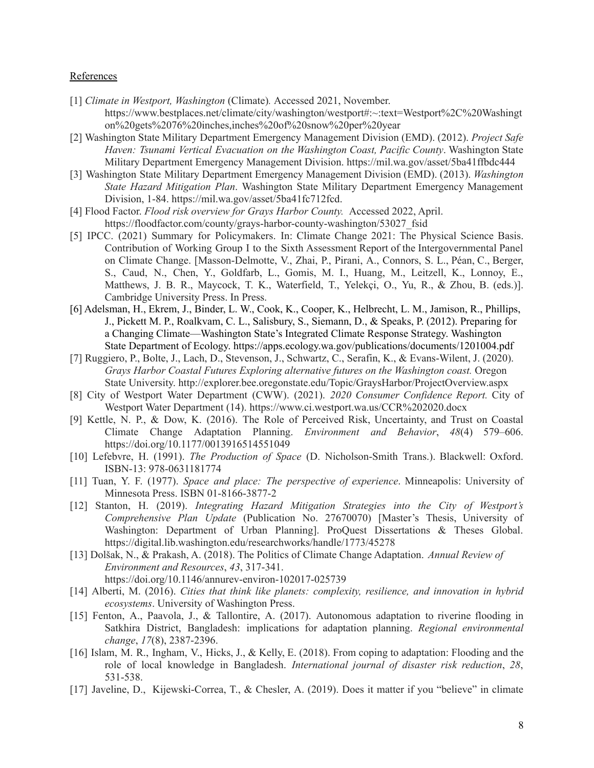### **References**

- [1] *Climate in Westport, Washington* (Climate)*.* Accessed 2021, November. https://www.bestplaces.net/climate/city/washington/westport#:~:text=Westport%2C%20Washingt on%20gets%2076%20inches,inches%20of%20snow%20per%20year
- [2] Washington State Military Department Emergency Management Division (EMD). (2012). *Project Safe Haven: Tsunami Vertical Evacuation on the Washington Coast, Pacific County*. Washington State Military Department Emergency Management Division. https://mil.wa.gov/asset/5ba41ffbdc444
- [3] Washington State Military Department Emergency Management Division (EMD). (2013). *Washington State Hazard Mitigation Plan*. Washington State Military Department Emergency Management Division, 1-84. <https://mil.wa.gov/asset/5ba41fc712fcd>.
- [4] Flood Factor. *Flood risk overview for Grays Harbor County.* Accessed 2022, April. https://floodfactor.com/county/grays-harbor-county-washington/53027\_fsid
- [5] IPCC. (2021) Summary for Policymakers. In: Climate Change 2021: The Physical Science Basis. Contribution of Working Group I to the Sixth Assessment Report of the Intergovernmental Panel on Climate Change. [Masson-Delmotte, V., Zhai, P., Pirani, A., Connors, S. L., Péan, C., Berger, S., Caud, N., Chen, Y., Goldfarb, L., Gomis, M. I., Huang, M., Leitzell, K., Lonnoy, E., Matthews, J. B. R., Maycock, T. K., Waterfield, T., Yelekçi, O., Yu, R., & Zhou, B. (eds.)]. Cambridge University Press. In Press.
- [6] Adelsman, H., Ekrem, J., Binder, L. W., Cook, K., Cooper, K., Helbrecht, L. M., Jamison, R., Phillips, J., Pickett M. P., Roalkvam, C. L., Salisbury, S., Siemann, D., & Speaks, P. (2012). Preparing for a Changing Climate—Washington State's Integrated Climate Response Strategy. Washington State Department of Ecology. https://apps.ecology.wa.gov/publications/documents/1201004.pdf
- [7] Ruggiero, P., Bolte, J., Lach, D., Stevenson, J., Schwartz, C., Serafin, K., & Evans-Wilent, J. (2020). *Grays Harbor Coastal Futures Exploring alternative futures on the Washington coast.* Oregon State University. <http://explorer.bee.oregonstate.edu/Topic/GraysHarbor/ProjectOverview.aspx>
- [8] City of Westport Water Department (CWW). (2021). *2020 Consumer Confidence Report.* City of Westport Water Department (14). <https://www.ci.westport.wa.us/CCR%202020.docx>
- [9] Kettle, N. P., & Dow, K. (2016). The Role of Perceived Risk, Uncertainty, and Trust on Coastal Climate Change Adaptation Planning. *Environment and Behavior*, *48*(4) 579–606. https://doi.org/10.1177/0013916514551049
- [10] Lefebvre, H. (1991). *The Production of Space* (D. Nicholson-Smith Trans.). Blackwell: Oxford. ISBN-13: 978-0631181774
- [11] Tuan, Y. F. (1977). *Space and place: The perspective of experience*. Minneapolis: University of Minnesota Press. ISBN 01-8166-3877-2
- [12] Stanton, H. (2019). *Integrating Hazard Mitigation Strategies into the City of Westport's Comprehensive Plan Update* (Publication No. 27670070) [Master's Thesis, University of Washington: Department of Urban Planning]. ProQuest Dissertations & Theses Global. <https://digital.lib.washington.edu/researchworks/handle/1773/45278>
- [13] Dolšak, N., & Prakash, A. (2018). The Politics of Climate Change Adaptation. *Annual Review of Environment and Resources*, *43*, 317-341. https://doi.org/10.1146/annurev-environ-102017-025739
- [14] Alberti, M. (2016). *Cities that think like planets: complexity, resilience, and innovation in hybrid ecosystems*. University of Washington Press.
- [15] Fenton, A., Paavola, J., & Tallontire, A. (2017). Autonomous adaptation to riverine flooding in Satkhira District, Bangladesh: implications for adaptation planning. *Regional environmental change*, *17*(8), 2387-2396.
- [16] Islam, M. R., Ingham, V., Hicks, J., & Kelly, E. (2018). From coping to adaptation: Flooding and the role of local knowledge in Bangladesh. *International journal of disaster risk reduction*, *28*, 531-538.
- [17] Javeline, D., Kijewski-Correa, T., & Chesler, A. (2019). Does it matter if you "believe" in climate